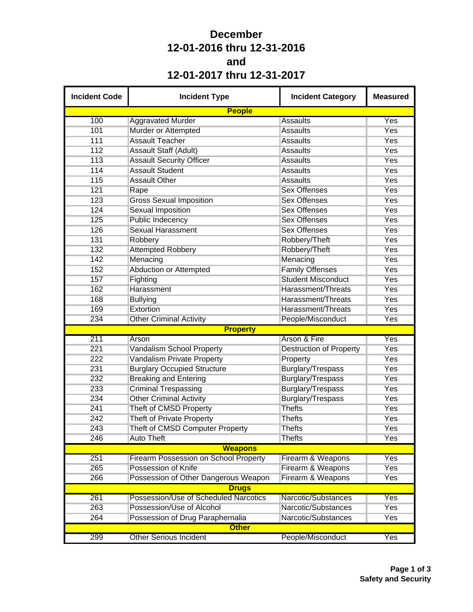## **December 12-01-2016 thru 12-31-2016 and 12-01-2017 thru 12-31-2017**

| <b>Incident Code</b> | <b>Incident Type</b>                         | <b>Incident Category</b>       | <b>Measured</b> |
|----------------------|----------------------------------------------|--------------------------------|-----------------|
|                      | <b>People</b>                                |                                |                 |
| 100                  | <b>Aggravated Murder</b>                     | <b>Assaults</b>                | Yes             |
| 101                  | Murder or Attempted                          | <b>Assaults</b>                | Yes             |
| 111                  | <b>Assault Teacher</b>                       | <b>Assaults</b>                | Yes             |
| 112                  | <b>Assault Staff (Adult)</b>                 | <b>Assaults</b>                | Yes             |
| 113                  | <b>Assault Security Officer</b>              | <b>Assaults</b>                | Yes             |
| 114                  | <b>Assault Student</b>                       | <b>Assaults</b>                | Yes             |
| 115                  | <b>Assault Other</b>                         | <b>Assaults</b>                | Yes             |
| 121                  | Rape                                         | <b>Sex Offenses</b>            | Yes             |
| 123                  | <b>Gross Sexual Imposition</b>               | <b>Sex Offenses</b>            | Yes             |
| 124                  | <b>Sexual Imposition</b>                     | <b>Sex Offenses</b>            | Yes             |
| 125                  | <b>Public Indecency</b>                      | <b>Sex Offenses</b>            | Yes             |
| 126                  | <b>Sexual Harassment</b>                     | <b>Sex Offenses</b>            | Yes             |
| 131                  | Robbery                                      | Robbery/Theft                  | Yes             |
| 132                  | <b>Attempted Robbery</b>                     | Robbery/Theft                  | Yes             |
| 142                  | Menacing                                     | Menacing                       | Yes             |
| 152                  | <b>Abduction or Attempted</b>                | <b>Family Offenses</b>         | Yes             |
| 157                  | Fighting                                     | <b>Student Misconduct</b>      | Yes             |
| 162                  | Harassment                                   | Harassment/Threats             | Yes             |
| 168                  | <b>Bullying</b>                              | Harassment/Threats             | Yes             |
| 169                  | Extortion                                    | Harassment/Threats             | Yes             |
| 234                  | <b>Other Criminal Activity</b>               | People/Misconduct              | Yes             |
|                      | <b>Property</b>                              |                                |                 |
| 211                  | Arson                                        | Arson & Fire                   | Yes             |
| 221                  | Vandalism School Property                    | <b>Destruction of Property</b> | Yes             |
| 222                  | Vandalism Private Property                   | Property                       | Yes             |
| 231                  | <b>Burglary Occupied Structure</b>           | <b>Burglary/Trespass</b>       | Yes             |
| 232                  | <b>Breaking and Entering</b>                 | Burglary/Trespass              | Yes             |
| 233                  | <b>Criminal Trespassing</b>                  | <b>Burglary/Trespass</b>       | Yes             |
| 234                  | <b>Other Criminal Activity</b>               | <b>Burglary/Trespass</b>       | Yes             |
| 241                  | Theft of CMSD Property                       | <b>Thefts</b>                  | Yes             |
| 242                  | Theft of Private Property                    | <b>Thefts</b>                  | Yes             |
| 243                  | Theft of CMSD Computer Property              | <b>Thefts</b>                  | Yes             |
| 246                  | <b>Auto Theft</b>                            | <b>Thefts</b>                  | Yes             |
|                      | <b>Weapons</b>                               |                                |                 |
| 251                  | <b>Firearm Possession on School Property</b> | Firearm & Weapons              | Yes             |
| 265                  | Possession of Knife                          | Firearm & Weapons              | <b>Yes</b>      |
| 266                  | Possession of Other Dangerous Weapon         | Firearm & Weapons              | Yes             |
|                      | <b>Drugs</b>                                 |                                |                 |
| 261                  | Possession/Use of Scheduled Narcotics        | Narcotic/Substances            | Yes             |
| 263                  | Possession/Use of Alcohol                    | Narcotic/Substances            | Yes             |
| 264                  | Possession of Drug Paraphernalia             | Narcotic/Substances            | Yes             |
|                      | <b>Other</b>                                 |                                |                 |
| 299                  | <b>Other Serious Incident</b>                | People/Misconduct              | Yes             |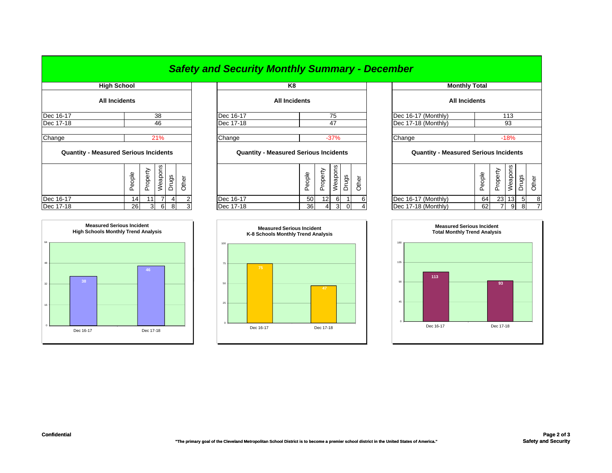## *Safety and Security Monthly Summary - December*

| <b>All Incidents</b> |
|----------------------|
| 38                   |
| 46                   |
| 21%                  |
|                      |

| <b>QUATTLEY - INCASULCU JULIOUS ILICIUCITIS</b> |        |          |         |       |       |
|-------------------------------------------------|--------|----------|---------|-------|-------|
|                                                 | People | Property | Weapons | sbnuc | Other |
| Dec 16-17                                       | 14     |          |         |       |       |
| Dec 17-18                                       | 26     |          | 6       | ႙     | 3     |



|           | <b>FIIUII JUIUUI</b> |           | rю                   |                     |
|-----------|----------------------|-----------|----------------------|---------------------|
|           | <b>All Incidents</b> |           | <b>All Incidents</b> |                     |
| Dec 16-17 | 38                   | Dec 16-17 | 75                   | Dec 16-17 (Monthly) |
| Dec 17-18 | 46                   | Dec 17-18 |                      | Dec 17-18 (Monthly) |
| Change    | <b>21%</b>           | Change    | -37%                 | Change              |
|           |                      |           |                      |                     |

## **Quantity - Measured Serious Incidents Quantity - Measured Serious Incidents Quantity - Measured Serious Incidents**

| ၯ<br>Φ<br>∽<br>ັ<br>န္ဖ<br>ᅙ<br>္တ<br>∼<br>◡<br>Ф<br>="<br>CD.<br>௨<br>ட<br>┙ |           | п<br>G)<br>ᅩ | ധ<br>∼<br><b>_</b> | ၯ<br>ಕ<br>Φ | m<br>ರಾ | ∽<br>Φ<br>≖ |                     | ഄ<br>$\overline{\phantom{1}}$<br>≖ | ∽<br>Φ<br>∸<br>ᄔ | .,<br>≌<br>w | <u>ဗိ</u> | Ф |
|-------------------------------------------------------------------------------|-----------|--------------|--------------------|-------------|---------|-------------|---------------------|------------------------------------|------------------|--------------|-----------|---|
| Dec 16-17<br>c<br>14 I                                                        | Dec 16-17 | 50           | 12 <sub>l</sub>    | 6           |         | 61          | Dec 16-17 (Monthly) | 64                                 | 23               | 13           | -51       |   |
| Dec 17-18<br>26<br>$\sim$<br>81<br>વ<br>ົ<br>ы<br>v                           | Dec 17-18 | 36           |                    | 3           |         |             | Dec 17-18 (Monthly) | 62                                 | ⇁                | 9            | 8         |   |



| <b>High School</b>       |           |                |                |       |       |           | K8                                           |                     |          |                |                |       | <b>Monthly Total</b>                         |        |          |         |                |       |  |  |
|--------------------------|-----------|----------------|----------------|-------|-------|-----------|----------------------------------------------|---------------------|----------|----------------|----------------|-------|----------------------------------------------|--------|----------|---------|----------------|-------|--|--|
| All Incidents            |           |                |                |       |       |           | <b>All Incidents</b>                         |                     |          |                |                |       | <b>All Incidents</b>                         |        |          |         |                |       |  |  |
|                          |           |                | 38             |       |       | Dec 16-17 |                                              |                     |          | 75             |                |       | Dec 16-17 (Monthly)                          |        |          | 113     |                |       |  |  |
| 46                       |           |                | Dec 17-18      |       | 47    |           |                                              | Dec 17-18 (Monthly) |          | 93             |                |       |                                              |        |          |         |                |       |  |  |
|                          |           |                | 21%            |       |       | Change    |                                              |                     |          | $-37%$         |                |       | Change                                       |        |          | $-18%$  |                |       |  |  |
| asured Serious Incidents |           |                |                |       |       |           | <b>Quantity - Measured Serious Incidents</b> |                     |          |                |                |       | <b>Quantity - Measured Serious Incidents</b> |        |          |         |                |       |  |  |
|                          | People    | Property       | Weapons        | Drugs | Other |           |                                              | People              | Property | Weapons        | Drugs          | Other |                                              | People | Property | Weapons | Drugs          | Other |  |  |
|                          | 14        | 11             | $\overline{7}$ | 4     | 2     | Dec 16-17 |                                              | 50                  | 12       | 6              |                | 6     | Dec 16-17 (Monthly)                          | 64     | 23       | 13      | 5 <sup>1</sup> | 8     |  |  |
|                          | <b>26</b> | 3 <sup>1</sup> | 6              | 8     |       | Dec 17-18 |                                              | 36                  | 4        | $\overline{3}$ | $\overline{0}$ |       | Dec 17-18 (Monthly)                          | 62     |          | 9       | 81             |       |  |  |